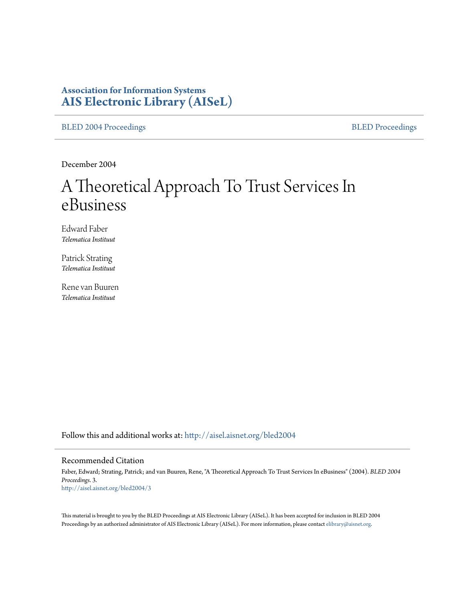# **Association for Information Systems [AIS Electronic Library \(AISeL\)](http://aisel.aisnet.org?utm_source=aisel.aisnet.org%2Fbled2004%2F3&utm_medium=PDF&utm_campaign=PDFCoverPages)**

[BLED 2004 Proceedings](http://aisel.aisnet.org/bled2004?utm_source=aisel.aisnet.org%2Fbled2004%2F3&utm_medium=PDF&utm_campaign=PDFCoverPages) and the [BLED Proceedings](http://aisel.aisnet.org/bled?utm_source=aisel.aisnet.org%2Fbled2004%2F3&utm_medium=PDF&utm_campaign=PDFCoverPages) BLED Proceedings

December 2004

# A Theoretical Approach To Trust Services In eBusiness

Edward Faber *Telematica Instituut*

Patrick Strating *Telematica Instituut*

Rene van Buuren *Telematica Instituut*

Follow this and additional works at: [http://aisel.aisnet.org/bled2004](http://aisel.aisnet.org/bled2004?utm_source=aisel.aisnet.org%2Fbled2004%2F3&utm_medium=PDF&utm_campaign=PDFCoverPages)

#### Recommended Citation

Faber, Edward; Strating, Patrick; and van Buuren, Rene, "A Theoretical Approach To Trust Services In eBusiness" (2004). *BLED 2004 Proceedings*. 3. [http://aisel.aisnet.org/bled2004/3](http://aisel.aisnet.org/bled2004/3?utm_source=aisel.aisnet.org%2Fbled2004%2F3&utm_medium=PDF&utm_campaign=PDFCoverPages)

This material is brought to you by the BLED Proceedings at AIS Electronic Library (AISeL). It has been accepted for inclusion in BLED 2004 Proceedings by an authorized administrator of AIS Electronic Library (AISeL). For more information, please contact [elibrary@aisnet.org](mailto:elibrary@aisnet.org%3E).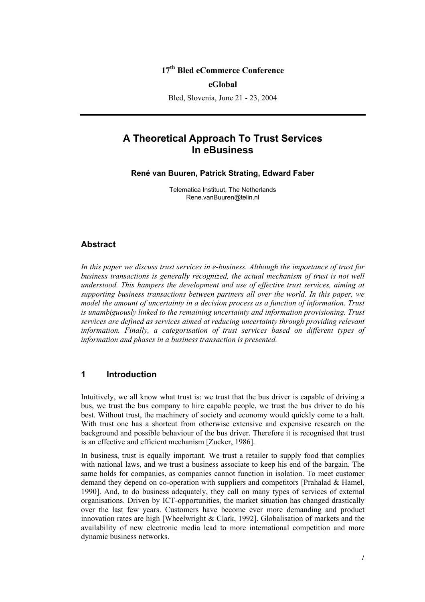## **17th Bled eCommerce Conference**

#### **eGlobal**

Bled, Slovenia, June 21 - 23, 2004

# **A Theoretical Approach To Trust Services In eBusiness**

**René van Buuren, Patrick Strating, Edward Faber** 

Telematica Instituut, The Netherlands Rene.vanBuuren@telin.nl

#### **Abstract**

*In this paper we discuss trust services in e-business. Although the importance of trust for*  business transactions is generally recognized, the actual mechanism of trust is not well *understood. This hampers the development and use of effective trust services, aiming at supporting business transactions between partners all over the world. In this paper, we model the amount of uncertainty in a decision process as a function of information. Trust is unambiguously linked to the remaining uncertainty and information provisioning. Trust services are defined as services aimed at reducing uncertainty through providing relevant information. Finally, a categorisation of trust services based on different types of information and phases in a business transaction is presented.* 

#### **1 Introduction**

Intuitively, we all know what trust is: we trust that the bus driver is capable of driving a bus, we trust the bus company to hire capable people, we trust the bus driver to do his best. Without trust, the machinery of society and economy would quickly come to a halt. With trust one has a shortcut from otherwise extensive and expensive research on the background and possible behaviour of the bus driver. Therefore it is recognised that trust is an effective and efficient mechanism [Zucker, 1986].

In business, trust is equally important. We trust a retailer to supply food that complies with national laws, and we trust a business associate to keep his end of the bargain. The same holds for companies, as companies cannot function in isolation. To meet customer demand they depend on co-operation with suppliers and competitors [Prahalad & Hamel, 1990]. And, to do business adequately, they call on many types of services of external organisations. Driven by ICT-opportunities, the market situation has changed drastically over the last few years. Customers have become ever more demanding and product innovation rates are high [Wheelwright & Clark, 1992]. Globalisation of markets and the availability of new electronic media lead to more international competition and more dynamic business networks.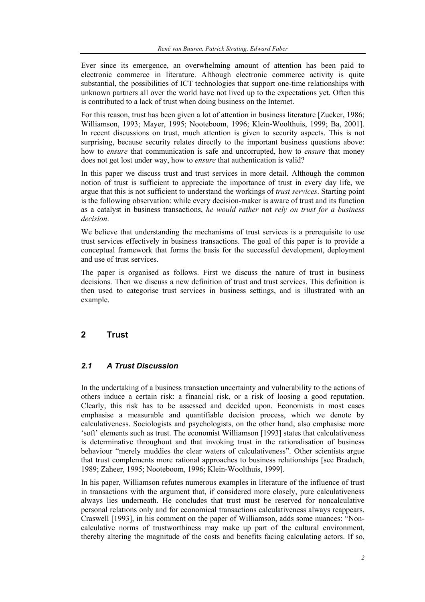Ever since its emergence, an overwhelming amount of attention has been paid to electronic commerce in literature. Although electronic commerce activity is quite substantial, the possibilities of ICT technologies that support one-time relationships with unknown partners all over the world have not lived up to the expectations yet. Often this is contributed to a lack of trust when doing business on the Internet.

For this reason, trust has been given a lot of attention in business literature [Zucker, 1986; Williamson, 1993; Mayer, 1995; Nooteboom, 1996; Klein-Woolthuis, 1999; Ba, 2001]. In recent discussions on trust, much attention is given to security aspects. This is not surprising, because security relates directly to the important business questions above: how to *ensure* that communication is safe and uncorrupted, how to *ensure* that money does not get lost under way, how to *ensure* that authentication is valid?

In this paper we discuss trust and trust services in more detail. Although the common notion of trust is sufficient to appreciate the importance of trust in every day life, we argue that this is not sufficient to understand the workings of *trust services*. Starting point is the following observation: while every decision-maker is aware of trust and its function as a catalyst in business transactions, *he would rather* not *rely on trust for a business decision*.

We believe that understanding the mechanisms of trust services is a prerequisite to use trust services effectively in business transactions. The goal of this paper is to provide a conceptual framework that forms the basis for the successful development, deployment and use of trust services.

The paper is organised as follows. First we discuss the nature of trust in business decisions. Then we discuss a new definition of trust and trust services. This definition is then used to categorise trust services in business settings, and is illustrated with an example.

# **2 Trust**

# *2.1 A Trust Discussion*

In the undertaking of a business transaction uncertainty and vulnerability to the actions of others induce a certain risk: a financial risk, or a risk of loosing a good reputation. Clearly, this risk has to be assessed and decided upon. Economists in most cases emphasise a measurable and quantifiable decision process, which we denote by calculativeness. Sociologists and psychologists, on the other hand, also emphasise more 'soft' elements such as trust. The economist Williamson [1993] states that calculativeness is determinative throughout and that invoking trust in the rationalisation of business behaviour "merely muddies the clear waters of calculativeness". Other scientists argue that trust complements more rational approaches to business relationships [see Bradach, 1989; Zaheer, 1995; Nooteboom, 1996; Klein-Woolthuis, 1999].

In his paper, Williamson refutes numerous examples in literature of the influence of trust in transactions with the argument that, if considered more closely, pure calculativeness always lies underneath. He concludes that trust must be reserved for noncalculative personal relations only and for economical transactions calculativeness always reappears. Craswell [1993], in his comment on the paper of Williamson, adds some nuances: "Noncalculative norms of trustworthiness may make up part of the cultural environment, thereby altering the magnitude of the costs and benefits facing calculating actors. If so,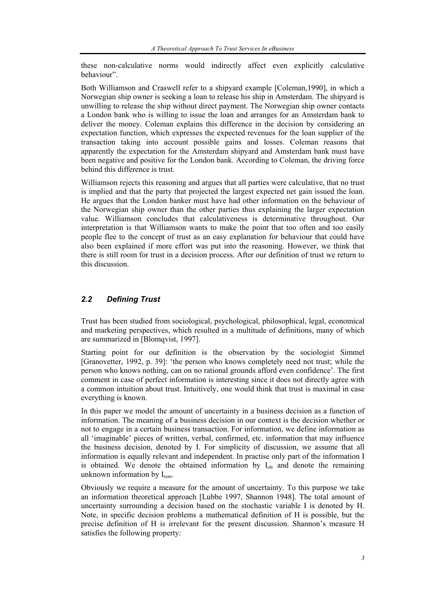these non-calculative norms would indirectly affect even explicitly calculative behaviour".

Both Williamson and Craswell refer to a shipyard example [Coleman,1990], in which a Norwegian ship owner is seeking a loan to release his ship in Amsterdam. The shipyard is unwilling to release the ship without direct payment. The Norwegian ship owner contacts a London bank who is willing to issue the loan and arranges for an Amsterdam bank to deliver the money. Coleman explains this difference in the decision by considering an expectation function, which expresses the expected revenues for the loan supplier of the transaction taking into account possible gains and losses. Coleman reasons that apparently the expectation for the Amsterdam shipyard and Amsterdam bank must have been negative and positive for the London bank. According to Coleman, the driving force behind this difference is trust.

Williamson rejects this reasoning and argues that all parties were calculative, that no trust is implied and that the party that projected the largest expected net gain issued the loan. He argues that the London banker must have had other information on the behaviour of the Norwegian ship owner than the other parties thus explaining the larger expectation value. Williamson concludes that calculativeness is determinative throughout. Our interpretation is that Williamson wants to make the point that too often and too easily people flee to the concept of trust as an easy explanation for behaviour that could have also been explained if more effort was put into the reasoning. However, we think that there is still room for trust in a decision process. After our definition of trust we return to this discussion.

#### *2.2 Defining Trust*

Trust has been studied from sociological, psychological, philosophical, legal, economical and marketing perspectives, which resulted in a multitude of definitions, many of which are summarized in [Blomqvist, 1997].

Starting point for our definition is the observation by the sociologist Simmel [Granovetter, 1992, p. 39]: 'the person who knows completely need not trust; while the person who knows nothing, can on no rational grounds afford even confidence'. The first comment in case of perfect information is interesting since it does not directly agree with a common intuition about trust. Intuitively, one would think that trust is maximal in case everything is known.

In this paper we model the amount of uncertainty in a business decision as a function of information. The meaning of a business decision in our context is the decision whether or not to engage in a certain business transaction. For information, we define information as all 'imaginable' pieces of written, verbal, confirmed, etc. information that may influence the business decision, denoted by I. For simplicity of discussion, we assume that all information is equally relevant and independent. In practise only part of the information I is obtained. We denote the obtained information by  $I_{ob}$  and denote the remaining unknown information by  $I_{rem.}$ 

Obviously we require a measure for the amount of uncertainty. To this purpose we take an information theoretical approach [Lubbe 1997, Shannon 1948]. The total amount of uncertainty surrounding a decision based on the stochastic variable I is denoted by H. Note, in specific decision problems a mathematical definition of H is possible, but the precise definition of H is irrelevant for the present discussion. Shannon's measure H satisfies the following property: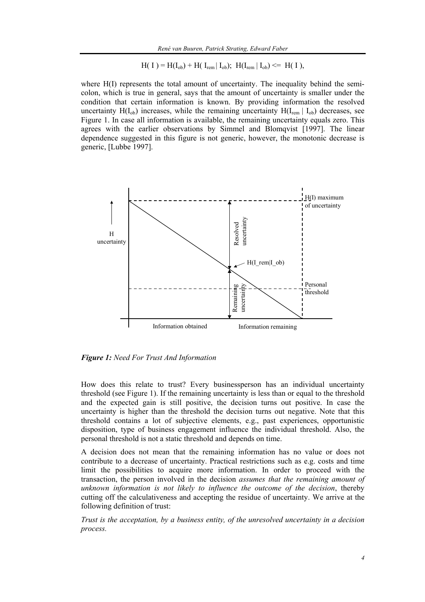$$
H(I) = H(I_{ob}) + H(I_{rem} | I_{ob}); \ H(I_{rem} | I_{ob}) \leq H(I),
$$

where H(I) represents the total amount of uncertainty. The inequality behind the semicolon, which is true in general, says that the amount of uncertainty is smaller under the condition that certain information is known. By providing information the resolved uncertainty  $H(I_{ob})$  increases, while the remaining uncertainty  $H(I_{rem} | I_{ob})$  decreases, see Figure 1. In case all information is available, the remaining uncertainty equals zero. This agrees with the earlier observations by Simmel and Blomqvist [1997]. The linear dependence suggested in this figure is not generic, however, the monotonic decrease is generic, [Lubbe 1997].



*Figure 1: Need For Trust And Information* 

How does this relate to trust? Every businessperson has an individual uncertainty threshold (see Figure 1). If the remaining uncertainty is less than or equal to the threshold and the expected gain is still positive, the decision turns out positive. In case the uncertainty is higher than the threshold the decision turns out negative. Note that this threshold contains a lot of subjective elements, e.g., past experiences, opportunistic disposition, type of business engagement influence the individual threshold. Also, the personal threshold is not a static threshold and depends on time.

A decision does not mean that the remaining information has no value or does not contribute to a decrease of uncertainty. Practical restrictions such as e.g. costs and time limit the possibilities to acquire more information. In order to proceed with the transaction, the person involved in the decision *assumes that the remaining amount of unknown information is not likely to influence the outcome of the decision*, thereby cutting off the calculativeness and accepting the residue of uncertainty. We arrive at the following definition of trust:

*Trust is the acceptation, by a business entity, of the unresolved uncertainty in a decision process.*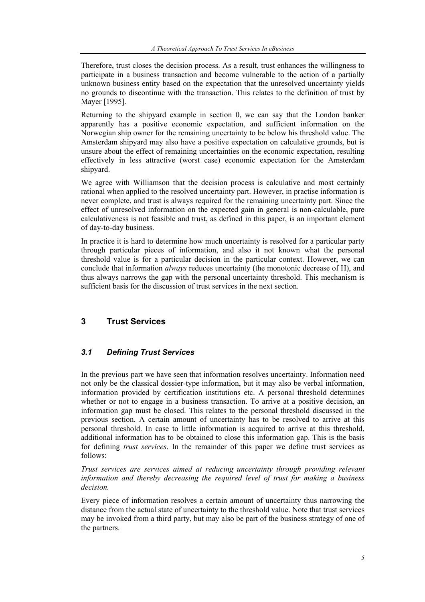Therefore, trust closes the decision process. As a result, trust enhances the willingness to participate in a business transaction and become vulnerable to the action of a partially unknown business entity based on the expectation that the unresolved uncertainty yields no grounds to discontinue with the transaction. This relates to the definition of trust by Mayer [1995].

Returning to the shipyard example in section 0, we can say that the London banker apparently has a positive economic expectation, and sufficient information on the Norwegian ship owner for the remaining uncertainty to be below his threshold value. The Amsterdam shipyard may also have a positive expectation on calculative grounds, but is unsure about the effect of remaining uncertainties on the economic expectation, resulting effectively in less attractive (worst case) economic expectation for the Amsterdam shipyard.

We agree with Williamson that the decision process is calculative and most certainly rational when applied to the resolved uncertainty part. However, in practise information is never complete, and trust is always required for the remaining uncertainty part. Since the effect of unresolved information on the expected gain in general is non-calculable, pure calculativeness is not feasible and trust, as defined in this paper, is an important element of day-to-day business.

In practice it is hard to determine how much uncertainty is resolved for a particular party through particular pieces of information, and also it not known what the personal threshold value is for a particular decision in the particular context. However, we can conclude that information *always* reduces uncertainty (the monotonic decrease of H), and thus always narrows the gap with the personal uncertainty threshold. This mechanism is sufficient basis for the discussion of trust services in the next section.

# **3 Trust Services**

## *3.1 Defining Trust Services*

In the previous part we have seen that information resolves uncertainty. Information need not only be the classical dossier-type information, but it may also be verbal information, information provided by certification institutions etc. A personal threshold determines whether or not to engage in a business transaction. To arrive at a positive decision, an information gap must be closed. This relates to the personal threshold discussed in the previous section. A certain amount of uncertainty has to be resolved to arrive at this personal threshold. In case to little information is acquired to arrive at this threshold, additional information has to be obtained to close this information gap. This is the basis for defining *trust services*. In the remainder of this paper we define trust services as follows:

*Trust services are services aimed at reducing uncertainty through providing relevant information and thereby decreasing the required level of trust for making a business decision.* 

Every piece of information resolves a certain amount of uncertainty thus narrowing the distance from the actual state of uncertainty to the threshold value. Note that trust services may be invoked from a third party, but may also be part of the business strategy of one of the partners.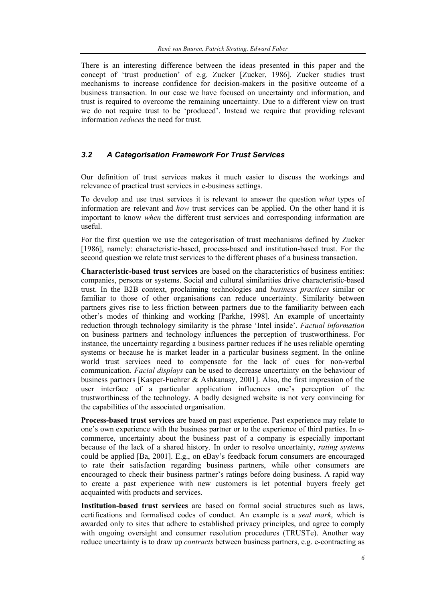There is an interesting difference between the ideas presented in this paper and the concept of 'trust production' of e.g. Zucker [Zucker, 1986]. Zucker studies trust mechanisms to increase confidence for decision-makers in the positive outcome of a business transaction. In our case we have focused on uncertainty and information, and trust is required to overcome the remaining uncertainty. Due to a different view on trust we do not require trust to be 'produced'. Instead we require that providing relevant information *reduces* the need for trust.

#### *3.2 A Categorisation Framework For Trust Services*

Our definition of trust services makes it much easier to discuss the workings and relevance of practical trust services in e-business settings.

To develop and use trust services it is relevant to answer the question *what* types of information are relevant and *how* trust services can be applied. On the other hand it is important to know *when* the different trust services and corresponding information are useful.

For the first question we use the categorisation of trust mechanisms defined by Zucker [1986], namely: characteristic-based, process-based and institution-based trust. For the second question we relate trust services to the different phases of a business transaction.

**Characteristic-based trust services** are based on the characteristics of business entities: companies, persons or systems. Social and cultural similarities drive characteristic-based trust. In the B2B context, proclaiming technologies and *business practices* similar or familiar to those of other organisations can reduce uncertainty. Similarity between partners gives rise to less friction between partners due to the familiarity between each other's modes of thinking and working [Parkhe, 1998]. An example of uncertainty reduction through technology similarity is the phrase 'Intel inside'. *Factual information* on business partners and technology influences the perception of trustworthiness. For instance, the uncertainty regarding a business partner reduces if he uses reliable operating systems or because he is market leader in a particular business segment. In the online world trust services need to compensate for the lack of cues for non-verbal communication. *Facial displays* can be used to decrease uncertainty on the behaviour of business partners [Kasper-Fuehrer & Ashkanasy, 2001]. Also, the first impression of the user interface of a particular application influences one's perception of the trustworthiness of the technology. A badly designed website is not very convincing for the capabilities of the associated organisation.

**Process-based trust services** are based on past experience. Past experience may relate to one's own experience with the business partner or to the experience of third parties. In ecommerce, uncertainty about the business past of a company is especially important because of the lack of a shared history. In order to resolve uncertainty, *rating systems*  could be applied [Ba, 2001]. E.g., on eBay's feedback forum consumers are encouraged to rate their satisfaction regarding business partners, while other consumers are encouraged to check their business partner's ratings before doing business. A rapid way to create a past experience with new customers is let potential buyers freely get acquainted with products and services.

**Institution-based trust services** are based on formal social structures such as laws, certifications and formalised codes of conduct. An example is a *seal mark*, which is awarded only to sites that adhere to established privacy principles, and agree to comply with ongoing oversight and consumer resolution procedures (TRUSTe). Another way reduce uncertainty is to draw up *contracts* between business partners, e.g. e-contracting as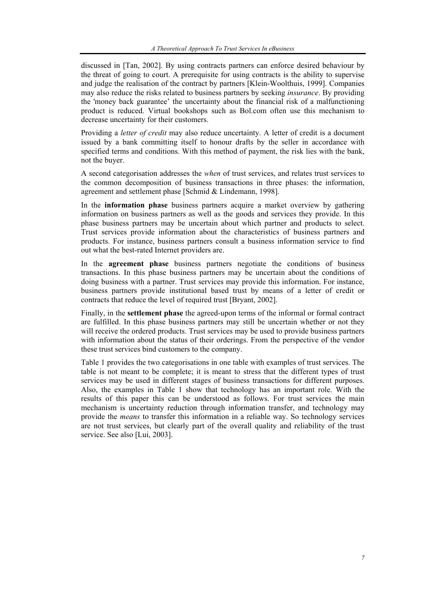discussed in [Tan, 2002]. By using contracts partners can enforce desired behaviour by the threat of going to court. A prerequisite for using contracts is the ability to supervise and judge the realisation of the contract by partners [Klein-Woolthuis, 1999]. Companies may also reduce the risks related to business partners by seeking *insurance*. By providing the 'money back guarantee' the uncertainty about the financial risk of a malfunctioning product is reduced. Virtual bookshops such as Bol.com often use this mechanism to decrease uncertainty for their customers.

Providing a *letter of credit* may also reduce uncertainty. A letter of credit is a document issued by a bank committing itself to honour drafts by the seller in accordance with specified terms and conditions. With this method of payment, the risk lies with the bank, not the buyer.

A second categorisation addresses the *when* of trust services, and relates trust services to the common decomposition of business transactions in three phases: the information, agreement and settlement phase [Schmid & Lindemann, 1998].

In the **information phase** business partners acquire a market overview by gathering information on business partners as well as the goods and services they provide. In this phase business partners may be uncertain about which partner and products to select. Trust services provide information about the characteristics of business partners and products. For instance, business partners consult a business information service to find out what the best-rated Internet providers are.

In the **agreement phase** business partners negotiate the conditions of business transactions. In this phase business partners may be uncertain about the conditions of doing business with a partner. Trust services may provide this information. For instance, business partners provide institutional based trust by means of a letter of credit or contracts that reduce the level of required trust [Bryant, 2002].

Finally, in the **settlement phase** the agreed-upon terms of the informal or formal contract are fulfilled. In this phase business partners may still be uncertain whether or not they will receive the ordered products. Trust services may be used to provide business partners with information about the status of their orderings. From the perspective of the vendor these trust services bind customers to the company.

Table 1 provides the two categorisations in one table with examples of trust services. The table is not meant to be complete; it is meant to stress that the different types of trust services may be used in different stages of business transactions for different purposes. Also, the examples in Table 1 show that technology has an important role. With the results of this paper this can be understood as follows. For trust services the main mechanism is uncertainty reduction through information transfer, and technology may provide the *means* to transfer this information in a reliable way. So technology services are not trust services, but clearly part of the overall quality and reliability of the trust service. See also [Lui, 2003].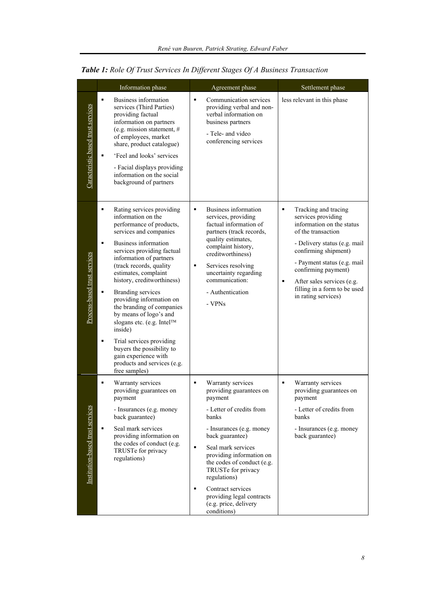|                                    | Information phase                                                                                                                                                                                                                                                                                                                                                                                                                                                                                                                                                                                       | Agreement phase                                                                                                                                                                                                                                                                                                                                                                                      | Settlement phase                                                                                                                                                                                                                                                                                           |
|------------------------------------|---------------------------------------------------------------------------------------------------------------------------------------------------------------------------------------------------------------------------------------------------------------------------------------------------------------------------------------------------------------------------------------------------------------------------------------------------------------------------------------------------------------------------------------------------------------------------------------------------------|------------------------------------------------------------------------------------------------------------------------------------------------------------------------------------------------------------------------------------------------------------------------------------------------------------------------------------------------------------------------------------------------------|------------------------------------------------------------------------------------------------------------------------------------------------------------------------------------------------------------------------------------------------------------------------------------------------------------|
| Caracteristic based trust services | $\blacksquare$<br>Business information<br>services (Third Parties)<br>providing factual<br>information on partners<br>(e.g. mission statement, $#$<br>of employees, market<br>share, product catalogue)<br>'Feel and looks' services<br>$\blacksquare$<br>- Facial displays providing<br>information on the social<br>background of partners                                                                                                                                                                                                                                                            | $\blacksquare$<br>Communication services<br>providing verbal and non-<br>verbal information on<br>business partners<br>- Tele- and video<br>conferencing services                                                                                                                                                                                                                                    | less relevant in this phase                                                                                                                                                                                                                                                                                |
| Process-based trust services       | ٠<br>Rating services providing<br>information on the<br>performance of products,<br>services and companies<br>Business information<br>$\blacksquare$<br>services providing factual<br>information of partners<br>(track records, quality)<br>estimates, complaint<br>history, creditworthiness)<br>Branding services<br>٠<br>providing information on<br>the branding of companies<br>by means of logo's and<br>slogans etc. (e.g. Intel™<br>inside)<br>Trial services providing<br>$\blacksquare$<br>buyers the possibility to<br>gain experience with<br>products and services (e.g.<br>free samples) | Business information<br>п<br>services, providing<br>factual information of<br>partners (track records,<br>quality estimates,<br>complaint history,<br>creditworthiness)<br>Services resolving<br>п<br>uncertainty regarding<br>communication:<br>- Authentication<br>- VPNs                                                                                                                          | Tracking and tracing<br>٠<br>services providing<br>information on the status<br>of the transaction<br>- Delivery status (e.g. mail<br>confirming shipment)<br>- Payment status (e.g. mail<br>confirming payment)<br>After sales services (e.g.<br>٠<br>filling in a form to be used<br>in rating services) |
| Institution-based trust services   | $\blacksquare$<br>Warranty services<br>providing guarantees on<br>payment<br>- Insurances (e.g. money<br>back guarantee)<br>Seal mark services<br>٠<br>providing information on<br>the codes of conduct (e.g.<br>TRUSTe for privacy<br>regulations)                                                                                                                                                                                                                                                                                                                                                     | Warranty services<br>$\blacksquare$<br>providing guarantees on<br>payment<br>- Letter of credits from<br>banks<br>- Insurances (e.g. money<br>back guarantee)<br>Seal mark services<br>$\blacksquare$<br>providing information on<br>the codes of conduct (e.g.<br>TRUSTe for privacy<br>regulations)<br>Contract services<br>٠<br>providing legal contracts<br>(e.g. price, delivery<br>conditions) | ٠<br>Warranty services<br>providing guarantees on<br>payment<br>- Letter of credits from<br>banks<br>- Insurances (e.g. money<br>back guarantee)                                                                                                                                                           |

| Table 1: Role Of Trust Services In Different Stages Of A Business Transaction |  |  |  |  |
|-------------------------------------------------------------------------------|--|--|--|--|
|                                                                               |  |  |  |  |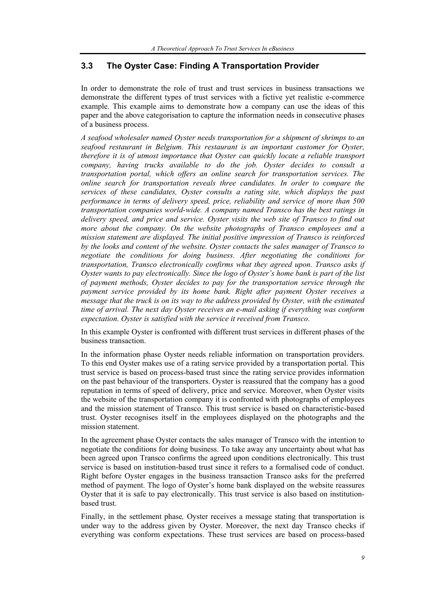# **3.3 The Oyster Case: Finding A Transportation Provider**

In order to demonstrate the role of trust and trust services in business transactions we demonstrate the different types of trust services with a fictive yet realistic e-commerce example. This example aims to demonstrate how a company can use the ideas of this paper and the above categorisation to capture the information needs in consecutive phases of a business process.

*A seafood wholesaler named Oyster needs transportation for a shipment of shrimps to an seafood restaurant in Belgium. This restaurant is an important customer for Oyster, therefore it is of utmost importance that Oyster can quickly locate a reliable transport company, having trucks available to do the job. Oyster decides to consult a transportation portal, which offers an online search for transportation services. The online search for transportation reveals three candidates. In order to compare the services of these candidates, Oyster consults a rating site, which displays the past performance in terms of delivery speed, price, reliability and service of more than 500 transportation companies world-wide. A company named Transco has the best ratings in delivery speed, and price and service. Oyster visits the web site of Transco to find out more about the company. On the website photographs of Transco employees and a mission statement are displayed. The initial positive impression of Transco is reinforced by the looks and content of the website. Oyster contacts the sales manager of Transco to negotiate the conditions for doing business. After negotiating the conditions for transportation, Transco electronically confirms what they agreed upon. Transco asks if Oyster wants to pay electronically. Since the logo of Oyster's home bank is part of the list of payment methods, Oyster decides to pay for the transportation service through the payment service provided by its home bank. Right after payment Oyster receives a message that the truck is on its way to the address provided by Oyster, with the estimated time of arrival. The next day Oyster receives an e-mail asking if everything was conform expectation. Oyster is satisfied with the service it received from Transco.* 

In this example Oyster is confronted with different trust services in different phases of the business transaction.

In the information phase Oyster needs reliable information on transportation providers. To this end Oyster makes use of a rating service provided by a transportation portal. This trust service is based on process-based trust since the rating service provides information on the past behaviour of the transporters. Oyster is reassured that the company has a good reputation in terms of speed of delivery, price and service. Moreover, when Oyster visits the website of the transportation company it is confronted with photographs of employees and the mission statement of Transco. This trust service is based on characteristic-based trust. Oyster recognises itself in the employees displayed on the photographs and the mission statement.

In the agreement phase Oyster contacts the sales manager of Transco with the intention to negotiate the conditions for doing business. To take away any uncertainty about what has been agreed upon Transco confirms the agreed upon conditions electronically. This trust service is based on institution-based trust since it refers to a formalised code of conduct. Right before Oyster engages in the business transaction Transco asks for the preferred method of payment. The logo of Oyster's home bank displayed on the website reassures Oyster that it is safe to pay electronically. This trust service is also based on institutionbased trust.

Finally, in the settlement phase*,* Oyster receives a message stating that transportation is under way to the address given by Oyster. Moreover, the next day Transco checks if everything was conform expectations. These trust services are based on process-based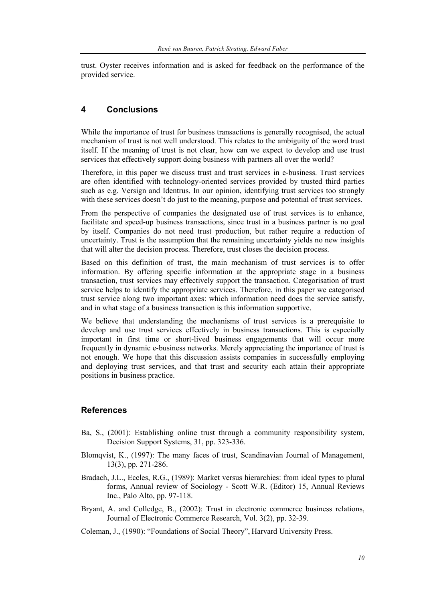trust. Oyster receives information and is asked for feedback on the performance of the provided service.

## **4 Conclusions**

While the importance of trust for business transactions is generally recognised, the actual mechanism of trust is not well understood. This relates to the ambiguity of the word trust itself. If the meaning of trust is not clear, how can we expect to develop and use trust services that effectively support doing business with partners all over the world?

Therefore, in this paper we discuss trust and trust services in e-business. Trust services are often identified with technology-oriented services provided by trusted third parties such as e.g. Versign and Identrus. In our opinion, identifying trust services too strongly with these services doesn't do just to the meaning, purpose and potential of trust services.

From the perspective of companies the designated use of trust services is to enhance, facilitate and speed-up business transactions, since trust in a business partner is no goal by itself. Companies do not need trust production, but rather require a reduction of uncertainty. Trust is the assumption that the remaining uncertainty yields no new insights that will alter the decision process. Therefore, trust closes the decision process.

Based on this definition of trust, the main mechanism of trust services is to offer information. By offering specific information at the appropriate stage in a business transaction, trust services may effectively support the transaction. Categorisation of trust service helps to identify the appropriate services. Therefore, in this paper we categorised trust service along two important axes: which information need does the service satisfy, and in what stage of a business transaction is this information supportive.

We believe that understanding the mechanisms of trust services is a prerequisite to develop and use trust services effectively in business transactions. This is especially important in first time or short-lived business engagements that will occur more frequently in dynamic e-business networks. Merely appreciating the importance of trust is not enough. We hope that this discussion assists companies in successfully employing and deploying trust services, and that trust and security each attain their appropriate positions in business practice.

## **References**

- Ba, S., (2001): Establishing online trust through a community responsibility system, Decision Support Systems, 31, pp. 323-336.
- Blomqvist, K., (1997): The many faces of trust, Scandinavian Journal of Management, 13(3), pp. 271-286.
- Bradach, J.L., Eccles, R.G., (1989): Market versus hierarchies: from ideal types to plural forms, Annual review of Sociology - Scott W.R. (Editor) 15, Annual Reviews Inc., Palo Alto, pp. 97-118.
- Bryant, A. and Colledge, B., (2002): Trust in electronic commerce business relations, Journal of Electronic Commerce Research, Vol. 3(2), pp. 32-39.
- Coleman, J., (1990): "Foundations of Social Theory", Harvard University Press.